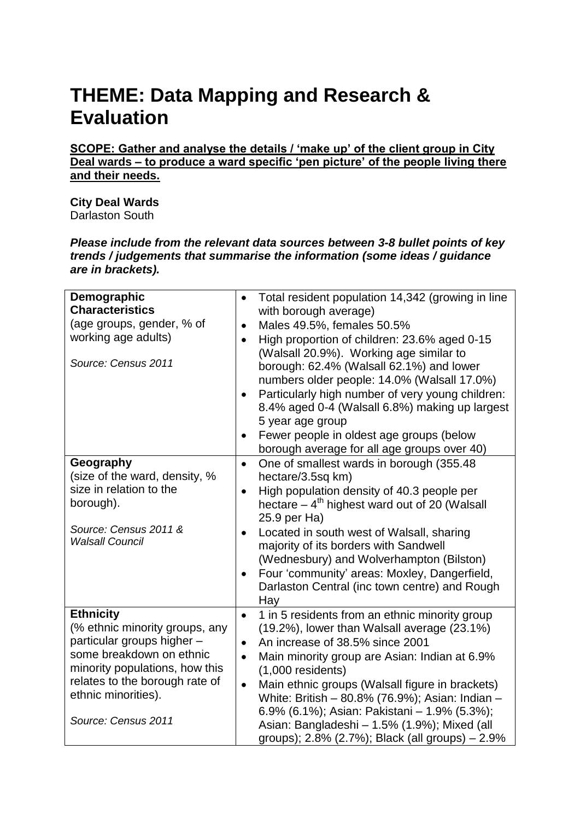## **THEME: Data Mapping and Research & Evaluation**

**SCOPE: Gather and analyse the details / 'make up' of the client group in City Deal wards – to produce a ward specific 'pen picture' of the people living there and their needs.** 

**City Deal Wards**  Darlaston South

*Please include from the relevant data sources between 3-8 bullet points of key trends / judgements that summarise the information (some ideas / guidance are in brackets).*

| Demographic<br><b>Characteristics</b><br>(age groups, gender, % of<br>working age adults)<br>Source: Census 2011                                                                                                               | Total resident population 14,342 (growing in line<br>$\bullet$<br>with borough average)<br>Males 49.5%, females 50.5%<br>$\bullet$<br>High proportion of children: 23.6% aged 0-15<br>$\bullet$<br>(Walsall 20.9%). Working age similar to<br>borough: 62.4% (Walsall 62.1%) and lower<br>numbers older people: 14.0% (Walsall 17.0%)<br>Particularly high number of very young children:<br>$\bullet$<br>8.4% aged 0-4 (Walsall 6.8%) making up largest<br>5 year age group<br>Fewer people in oldest age groups (below   |
|--------------------------------------------------------------------------------------------------------------------------------------------------------------------------------------------------------------------------------|----------------------------------------------------------------------------------------------------------------------------------------------------------------------------------------------------------------------------------------------------------------------------------------------------------------------------------------------------------------------------------------------------------------------------------------------------------------------------------------------------------------------------|
| Geography<br>(size of the ward, density, %<br>size in relation to the<br>borough).<br>Source: Census 2011 &<br><b>Walsall Council</b>                                                                                          | borough average for all age groups over 40)<br>One of smallest wards in borough (355.48)<br>$\bullet$<br>hectare/3.5sq km)<br>High population density of 40.3 people per<br>$\bullet$<br>hectare $-4$ <sup>th</sup> highest ward out of 20 (Walsall<br>25.9 per Ha)<br>Located in south west of Walsall, sharing<br>majority of its borders with Sandwell<br>(Wednesbury) and Wolverhampton (Bilston)<br>Four 'community' areas: Moxley, Dangerfield,<br>$\bullet$<br>Darlaston Central (inc town centre) and Rough<br>Hay |
| <b>Ethnicity</b><br>(% ethnic minority groups, any<br>particular groups higher -<br>some breakdown on ethnic<br>minority populations, how this<br>relates to the borough rate of<br>ethnic minorities).<br>Source: Census 2011 | 1 in 5 residents from an ethnic minority group<br>$\bullet$<br>(19.2%), lower than Walsall average (23.1%)<br>An increase of 38.5% since 2001<br>$\bullet$<br>Main minority group are Asian: Indian at 6.9%<br>$\bullet$<br>$(1,000$ residents)<br>Main ethnic groups (Walsall figure in brackets)<br>$\bullet$<br>White: British - 80.8% (76.9%); Asian: Indian -<br>6.9% (6.1%); Asian: Pakistani - 1.9% (5.3%);<br>Asian: Bangladeshi - 1.5% (1.9%); Mixed (all<br>groups); 2.8% (2.7%); Black (all groups) - 2.9%      |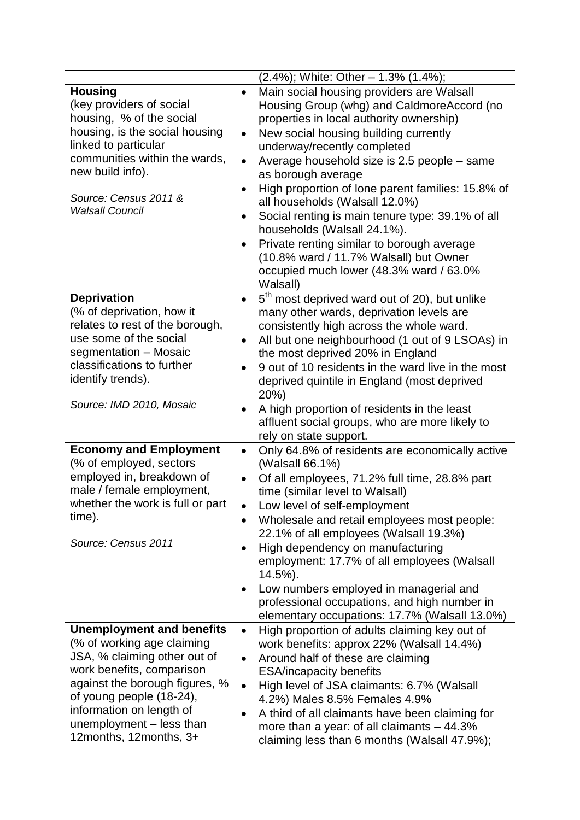|                                                                                                                                                                                                                                                                             | $(2.4\%)$ ; White: Other - 1.3% $(1.4\%)$ ;                                                                                                                                                                                                                                                                                                                                                                                                                                                                                                                                                                                                                                             |
|-----------------------------------------------------------------------------------------------------------------------------------------------------------------------------------------------------------------------------------------------------------------------------|-----------------------------------------------------------------------------------------------------------------------------------------------------------------------------------------------------------------------------------------------------------------------------------------------------------------------------------------------------------------------------------------------------------------------------------------------------------------------------------------------------------------------------------------------------------------------------------------------------------------------------------------------------------------------------------------|
| <b>Housing</b><br>(key providers of social<br>housing, % of the social<br>housing, is the social housing<br>linked to particular<br>communities within the wards,<br>new build info).<br>Source: Census 2011 &<br><b>Walsall Council</b>                                    | Main social housing providers are Walsall<br>$\bullet$<br>Housing Group (whg) and CaldmoreAccord (no<br>properties in local authority ownership)<br>New social housing building currently<br>$\bullet$<br>underway/recently completed<br>Average household size is 2.5 people - same<br>$\bullet$<br>as borough average<br>High proportion of lone parent families: 15.8% of<br>$\bullet$<br>all households (Walsall 12.0%)<br>Social renting is main tenure type: 39.1% of all<br>$\bullet$<br>households (Walsall 24.1%).<br>Private renting similar to borough average<br>$\bullet$<br>(10.8% ward / 11.7% Walsall) but Owner<br>occupied much lower (48.3% ward / 63.0%<br>Walsall) |
| <b>Deprivation</b><br>(% of deprivation, how it<br>relates to rest of the borough,<br>use some of the social<br>segmentation - Mosaic<br>classifications to further<br>identify trends).<br>Source: IMD 2010, Mosaic                                                        | 5 <sup>th</sup> most deprived ward out of 20), but unlike<br>$\bullet$<br>many other wards, deprivation levels are<br>consistently high across the whole ward.<br>All but one neighbourhood (1 out of 9 LSOAs) in<br>$\bullet$<br>the most deprived 20% in England<br>9 out of 10 residents in the ward live in the most<br>deprived quintile in England (most deprived<br>20%)<br>A high proportion of residents in the least<br>affluent social groups, who are more likely to<br>rely on state support.                                                                                                                                                                              |
| <b>Economy and Employment</b><br>(% of employed, sectors<br>employed in, breakdown of<br>male / female employment,<br>whether the work is full or part<br>time).<br>Source: Census 2011                                                                                     | Only 64.8% of residents are economically active<br>$\bullet$<br>(Walsall 66.1%)<br>Of all employees, 71.2% full time, 28.8% part<br>$\bullet$<br>time (similar level to Walsall)<br>Low level of self-employment<br>Wholesale and retail employees most people:<br>$\bullet$<br>22.1% of all employees (Walsall 19.3%)<br>High dependency on manufacturing<br>employment: 17.7% of all employees (Walsall<br>14.5%).<br>Low numbers employed in managerial and<br>professional occupations, and high number in<br>elementary occupations: 17.7% (Walsall 13.0%)                                                                                                                         |
| <b>Unemployment and benefits</b><br>(% of working age claiming<br>JSA, % claiming other out of<br>work benefits, comparison<br>against the borough figures, %<br>of young people (18-24),<br>information on length of<br>unemployment - less than<br>12months, 12months, 3+ | High proportion of adults claiming key out of<br>$\bullet$<br>work benefits: approx 22% (Walsall 14.4%)<br>Around half of these are claiming<br>$\bullet$<br><b>ESA/incapacity benefits</b><br>High level of JSA claimants: 6.7% (Walsall<br>$\bullet$<br>4.2%) Males 8.5% Females 4.9%<br>A third of all claimants have been claiming for<br>more than a year: of all claimants $-44.3\%$<br>claiming less than 6 months (Walsall 47.9%);                                                                                                                                                                                                                                              |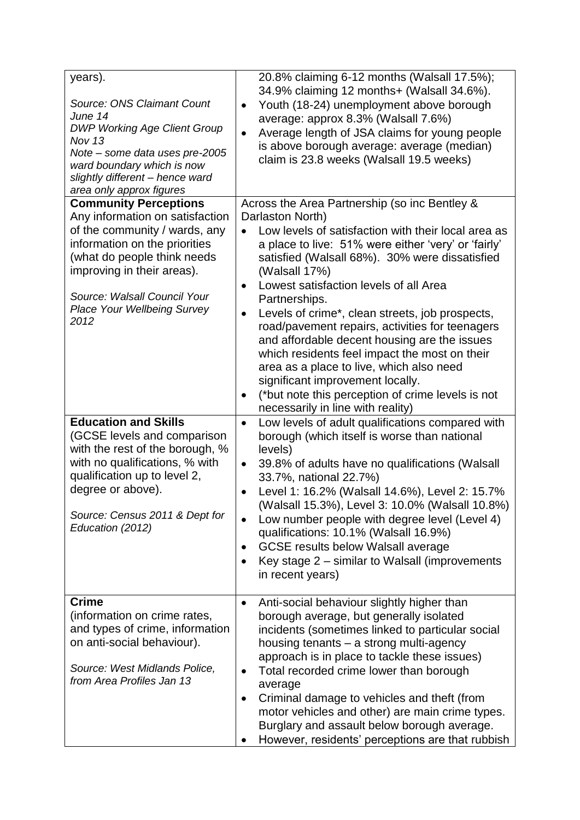| years).<br>Source: ONS Claimant Count<br>June 14<br><b>DWP Working Age Client Group</b><br>Nov $13$<br>Note - some data uses pre-2005<br>ward boundary which is now<br>slightly different - hence ward<br>area only approx figures           | 20.8% claiming 6-12 months (Walsall 17.5%);<br>34.9% claiming 12 months+ (Walsall 34.6%).<br>Youth (18-24) unemployment above borough<br>average: approx 8.3% (Walsall 7.6%)<br>Average length of JSA claims for young people<br>$\bullet$<br>is above borough average: average (median)<br>claim is 23.8 weeks (Walsall 19.5 weeks)                                                                                                                                                                                                                                                                                                                                                 |
|----------------------------------------------------------------------------------------------------------------------------------------------------------------------------------------------------------------------------------------------|--------------------------------------------------------------------------------------------------------------------------------------------------------------------------------------------------------------------------------------------------------------------------------------------------------------------------------------------------------------------------------------------------------------------------------------------------------------------------------------------------------------------------------------------------------------------------------------------------------------------------------------------------------------------------------------|
| <b>Community Perceptions</b>                                                                                                                                                                                                                 | Across the Area Partnership (so inc Bentley &                                                                                                                                                                                                                                                                                                                                                                                                                                                                                                                                                                                                                                        |
| Any information on satisfaction<br>of the community / wards, any<br>information on the priorities<br>(what do people think needs<br>improving in their areas).<br>Source: Walsall Council Your<br><b>Place Your Wellbeing Survey</b><br>2012 | Darlaston North)<br>Low levels of satisfaction with their local area as<br>a place to live: 51% were either 'very' or 'fairly'<br>satisfied (Walsall 68%). 30% were dissatisfied<br>(Walsall 17%)<br>Lowest satisfaction levels of all Area<br>$\bullet$<br>Partnerships.<br>Levels of crime*, clean streets, job prospects,<br>$\bullet$<br>road/pavement repairs, activities for teenagers<br>and affordable decent housing are the issues<br>which residents feel impact the most on their<br>area as a place to live, which also need<br>significant improvement locally.<br>(*but note this perception of crime levels is not<br>$\bullet$<br>necessarily in line with reality) |
| <b>Education and Skills</b><br>(GCSE levels and comparison<br>with the rest of the borough, %<br>with no qualifications, % with<br>qualification up to level 2,<br>degree or above).<br>Source: Census 2011 & Dept for<br>Education (2012)   | Low levels of adult qualifications compared with<br>$\bullet$<br>borough (which itself is worse than national<br>levels)<br>39.8% of adults have no qualifications (Walsall<br>$\bullet$<br>33.7%, national 22.7%)<br>Level 1: 16.2% (Walsall 14.6%), Level 2: 15.7%<br>$\bullet$<br>(Walsall 15.3%), Level 3: 10.0% (Walsall 10.8%)<br>Low number people with degree level (Level 4)<br>qualifications: 10.1% (Walsall 16.9%)<br><b>GCSE results below Walsall average</b><br>٠<br>Key stage $2$ – similar to Walsall (improvements<br>in recent years)                                                                                                                             |
| <b>Crime</b><br>(information on crime rates,<br>and types of crime, information<br>on anti-social behaviour).<br>Source: West Midlands Police,<br>from Area Profiles Jan 13                                                                  | Anti-social behaviour slightly higher than<br>٠<br>borough average, but generally isolated<br>incidents (sometimes linked to particular social<br>housing tenants - a strong multi-agency<br>approach is in place to tackle these issues)<br>Total recorded crime lower than borough<br>average<br>Criminal damage to vehicles and theft (from<br>motor vehicles and other) are main crime types.<br>Burglary and assault below borough average.<br>However, residents' perceptions are that rubbish                                                                                                                                                                                 |